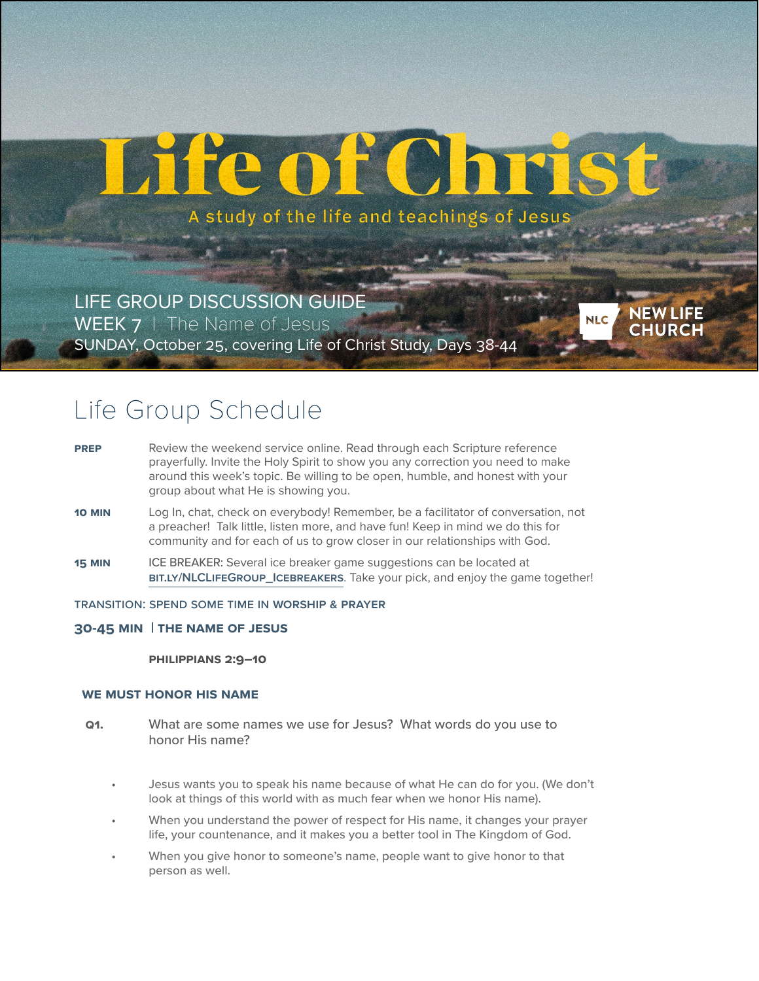# He of Chris

A study of the life and teachings of Jesus

**NEW LIFE**<br>CHURCH

**NLC** 

LIFE GROUP DISCUSSION GUIDE WEEK 7 | The Name of Jesus SUNDAY, October 25, covering Life of Christ Study, Days 38-44

# Life Group Schedule

- **PREP** Review the weekend service online. Read through each Scripture reference prayerfully. Invite the Holy Spirit to show you any correction you need to make around this week's topic. Be willing to be open, humble, and honest with your group about what He is showing you.
- **10 MIN** Log In, chat, check on everybody! Remember, be a facilitator of conversation, not a preacher! Talk little, listen more, and have fun! Keep in mind we do this for community and for each of us to grow closer in our relationships with God.
- **15 MIN ICE BREAKER:** Several ice breaker game suggestions can be located at **[bit.ly/NLCLifeGroup\\_Icebreakers](https://bit.ly/NLCLifeGroup_Icebreakers)**. Take your pick, and enjoy the game together!
- Transition: spend some time in **Worship & Prayer**
- **30-45 Min | The Name of Jesus**

**Philippians 2:9–10**

# **We Must Honor His Name**

- **Q1.** What are some names we use for Jesus? What words do you use to honor His name?
	- Jesus wants you to speak his name because of what He can do for you. (We don't look at things of this world with as much fear when we honor His name).
	- When you understand the power of respect for His name, it changes your prayer life, your countenance, and it makes you a better tool in The Kingdom of God.
	- When you give honor to someone's name, people want to give honor to that person as well.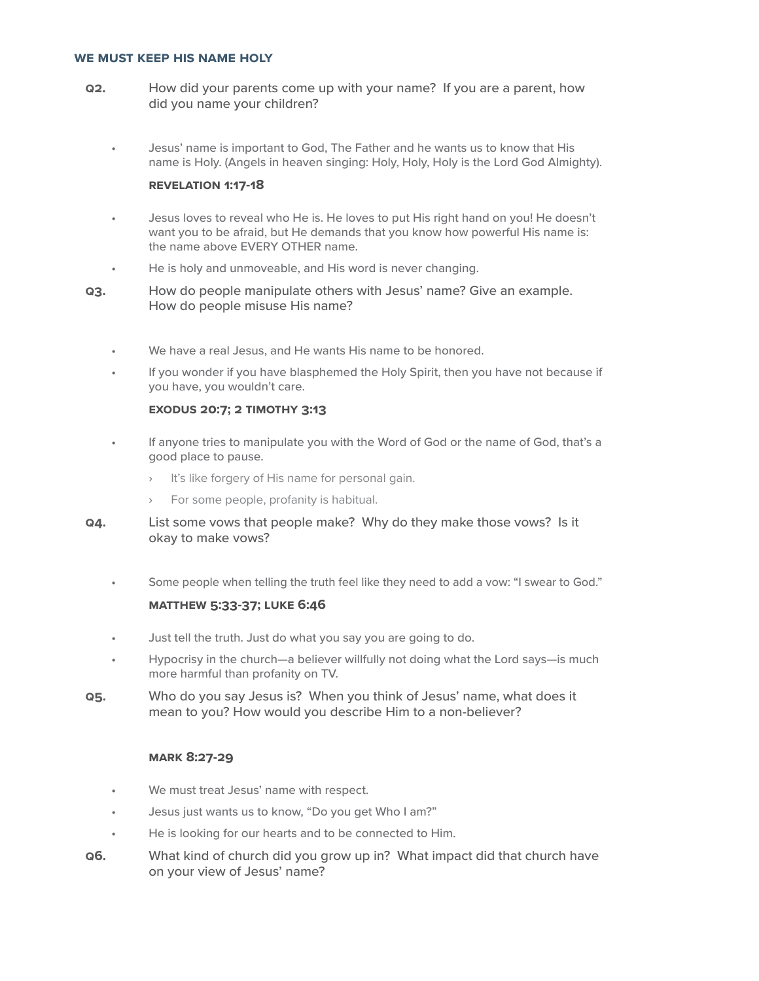#### **We Must Keep His Name Holy**

- **Q2.** How did your parents come up with your name? If you are a parent, how did you name your children?
	- Jesus' name is important to God, The Father and he wants us to know that His name is Holy. (Angels in heaven singing: Holy, Holy, Holy is the Lord God Almighty).

### **REVelation 1:17-18**

- Jesus loves to reveal who He is. He loves to put His right hand on you! He doesn't want you to be afraid, but He demands that you know how powerful His name is: the name above EVERY OTHER name.
- He is holy and unmoveable, and His word is never changing.
- **Q3.** How do people manipulate others with Jesus' name? Give an example. How do people misuse His name?
	- We have a real Jesus, and He wants His name to be honored.
	- If you wonder if you have blasphemed the Holy Spirit, then you have not because if you have, you wouldn't care.

# **EXODus 20:7; 2 Timothy 3:13**

- If anyone tries to manipulate you with the Word of God or the name of God, that's a good place to pause.
	- › It's like forgery of His name for personal gain.
	- For some people, profanity is habitual.
- **Q4.** List some vows that people make? Why do they make those vows? Is it okay to make vows?
	- Some people when telling the truth feel like they need to add a vow: "I swear to God."

# **MATThew 5:33-37; Luke 6:46**

- Just tell the truth. Just do what you say you are going to do.
- Hypocrisy in the church—a believer willfully not doing what the Lord says—is much more harmful than profanity on TV.
- **Q5.** Who do you say Jesus is? When you think of Jesus' name, what does it mean to you? How would you describe Him to a non-believer?

# **MARK 8:27-29**

- We must treat Jesus' name with respect.
- Jesus just wants us to know, "Do you get Who I am?"
- He is looking for our hearts and to be connected to Him.
- **Q6.** What kind of church did you grow up in? What impact did that church have on your view of Jesus' name?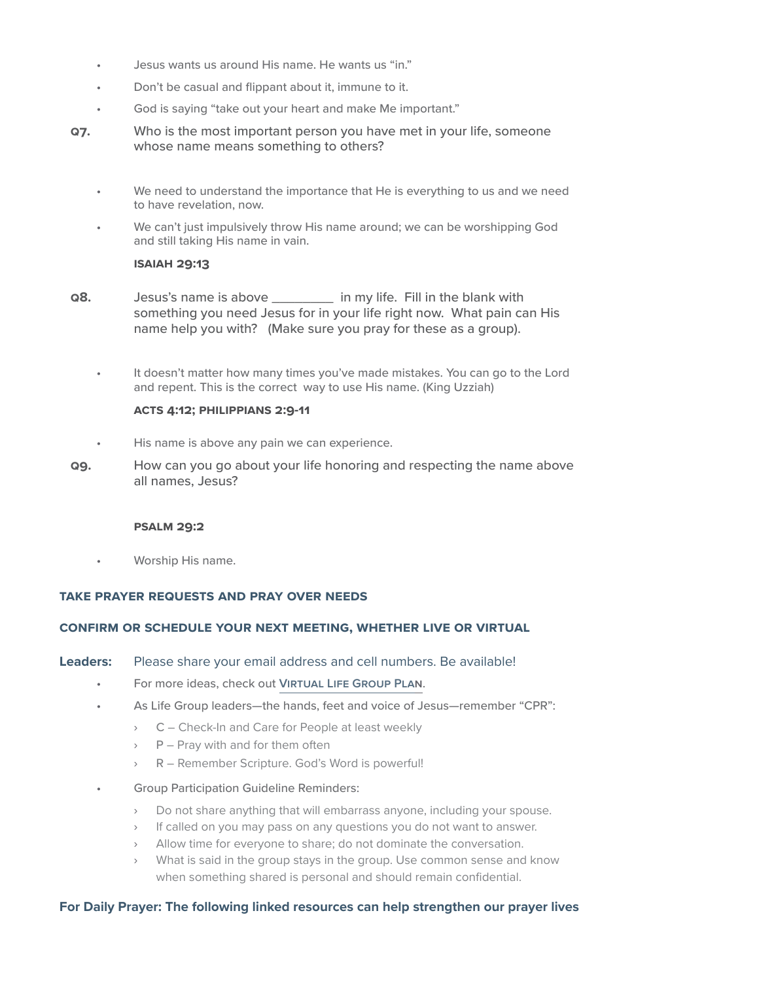- Jesus wants us around His name. He wants us "in."
- Don't be casual and flippant about it, immune to it.
- God is saying "take out your heart and make Me important."
- **Q7.** Who is the most important person you have met in your life, someone whose name means something to others?
	- We need to understand the importance that He is everything to us and we need to have revelation, now.
	- We can't just impulsively throw His name around; we can be worshipping God and still taking His name in vain.

#### **ISAIAH 29:13**

- **Q8.** Jesus's name is above \_\_\_\_\_\_\_\_ in my life. Fill in the blank with something you need Jesus for in your life right now. What pain can His name help you with? (Make sure you pray for these as a group).
	- It doesn't matter how many times you've made mistakes. You can go to the Lord and repent. This is the correct way to use His name. (King Uzziah)

# **ACTS 4:12; PHILippians 2:9-11**

- His name is above any pain we can experience.
- **Q9.** How can you go about your life honoring and respecting the name above all names, Jesus?

#### **PSALM 29:2**

• Worship His name.

# **Take Prayer requests and pray over NEEDS**

# **CONFIRM OR SCHEDULE YOUR NEXT MEETING, whether LIVE or virtual**

#### **Leaders:** Please share your email address and cell numbers. Be available!

- For more ideas, check out **[Virtual Life Group Plan](https://docs.google.com/document/d/1B-AFLLDjlkr_qd5wtmt8DEeYW9wYsFcnPNfQVChuMUA/edit?usp=sharing)**.
- As Life Group leaders—the hands, feet and voice of Jesus—remember "CPR":
	- › C Check-In and Care for People at least weekly
	- $\rightarrow$  P Pray with and for them often
	- › R Remember Scripture. God's Word is powerful!
- Group Participation Guideline Reminders:
	- › Do not share anything that will embarrass anyone, including your spouse.
	- › If called on you may pass on any questions you do not want to answer.
	- › Allow time for everyone to share; do not dominate the conversation.
	- › What is said in the group stays in the group. Use common sense and know when something shared is personal and should remain confidential.

# **For Daily Prayer: The following linked resources can help strengthen our prayer lives**